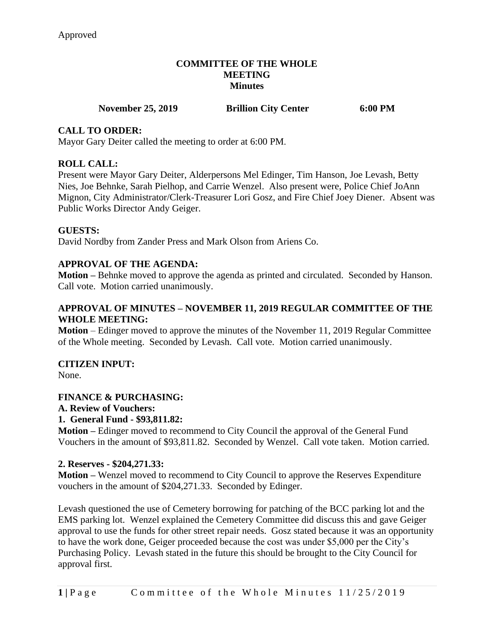### **COMMITTEE OF THE WHOLE MEETING Minutes**

# **November 25, 2019 Brillion City Center** 6:00 PM

# **CALL TO ORDER:**

Mayor Gary Deiter called the meeting to order at 6:00 PM.

## **ROLL CALL:**

Present were Mayor Gary Deiter, Alderpersons Mel Edinger, Tim Hanson, Joe Levash, Betty Nies, Joe Behnke, Sarah Pielhop, and Carrie Wenzel. Also present were, Police Chief JoAnn Mignon, City Administrator/Clerk-Treasurer Lori Gosz, and Fire Chief Joey Diener. Absent was Public Works Director Andy Geiger.

### **GUESTS:**

David Nordby from Zander Press and Mark Olson from Ariens Co.

# **APPROVAL OF THE AGENDA:**

**Motion –** Behnke moved to approve the agenda as printed and circulated. Seconded by Hanson. Call vote. Motion carried unanimously.

# **APPROVAL OF MINUTES – NOVEMBER 11, 2019 REGULAR COMMITTEE OF THE WHOLE MEETING:**

**Motion** – Edinger moved to approve the minutes of the November 11, 2019 Regular Committee of the Whole meeting. Seconded by Levash. Call vote. Motion carried unanimously.

# **CITIZEN INPUT:**

None.

# **FINANCE & PURCHASING:**

#### **A. Review of Vouchers:**

#### **1. General Fund - \$93,811.82:**

**Motion –** Edinger moved to recommend to City Council the approval of the General Fund Vouchers in the amount of \$93,811.82. Seconded by Wenzel. Call vote taken. Motion carried.

#### **2. Reserves - \$204,271.33:**

**Motion –** Wenzel moved to recommend to City Council to approve the Reserves Expenditure vouchers in the amount of \$204,271.33. Seconded by Edinger.

Levash questioned the use of Cemetery borrowing for patching of the BCC parking lot and the EMS parking lot. Wenzel explained the Cemetery Committee did discuss this and gave Geiger approval to use the funds for other street repair needs. Gosz stated because it was an opportunity to have the work done, Geiger proceeded because the cost was under \$5,000 per the City's Purchasing Policy. Levash stated in the future this should be brought to the City Council for approval first.